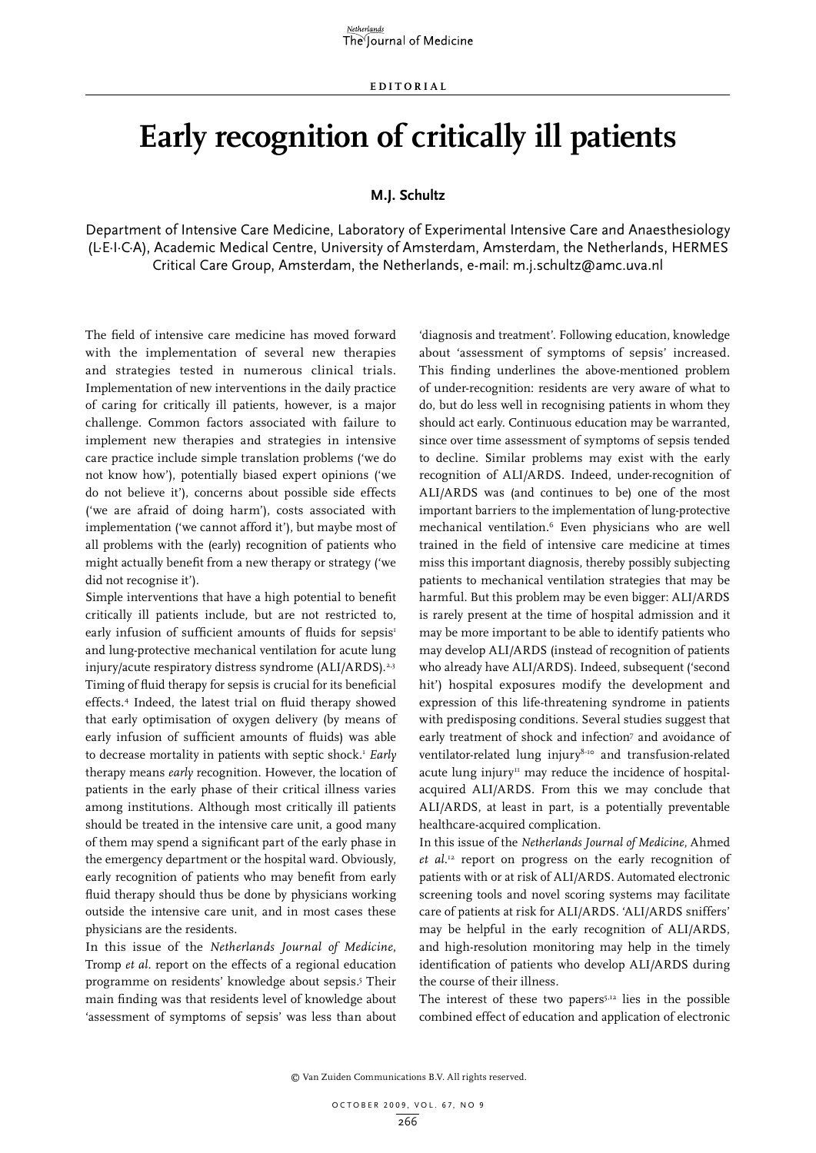## **Early recognition of critically ill patients**

## **M.J. Schultz**

Department of Intensive Care Medicine, Laboratory of Experimental Intensive Care and Anaesthesiology (L·E·I·C·A), Academic Medical Centre, University of Amsterdam, Amsterdam, the Netherlands, HERMES Critical Care Group, Amsterdam, the Netherlands, e-mail: m.j.schultz@amc.uva.nl

The field of intensive care medicine has moved forward with the implementation of several new therapies and strategies tested in numerous clinical trials. Implementation of new interventions in the daily practice of caring for critically ill patients, however, is a major challenge. Common factors associated with failure to implement new therapies and strategies in intensive care practice include simple translation problems ('we do not know how'), potentially biased expert opinions ('we do not believe it'), concerns about possible side effects ('we are afraid of doing harm'), costs associated with implementation ('we cannot afford it'), but maybe most of all problems with the (early) recognition of patients who might actually benefit from a new therapy or strategy ('we did not recognise it').

Simple interventions that have a high potential to benefit critically ill patients include, but are not restricted to, early infusion of sufficient amounts of fluids for sepsis<sup>1</sup> and lung-protective mechanical ventilation for acute lung injury/acute respiratory distress syndrome (ALI/ARDS).<sup>2,3</sup> Timing of fluid therapy for sepsis is crucial for its beneficial effects.4 Indeed, the latest trial on fluid therapy showed that early optimisation of oxygen delivery (by means of early infusion of sufficient amounts of fluids) was able to decrease mortality in patients with septic shock.<sup>1</sup> *Early* therapy means *early* recognition. However, the location of patients in the early phase of their critical illness varies among institutions. Although most critically ill patients should be treated in the intensive care unit, a good many of them may spend a significant part of the early phase in the emergency department or the hospital ward. Obviously, early recognition of patients who may benefit from early fluid therapy should thus be done by physicians working outside the intensive care unit, and in most cases these physicians are the residents.

In this issue of the *Netherlands Journal of Medicine*, Tromp *et al*. report on the effects of a regional education programme on residents' knowledge about sepsis.<sup>5</sup> Their main finding was that residents level of knowledge about 'assessment of symptoms of sepsis' was less than about

'diagnosis and treatment'. Following education, knowledge about 'assessment of symptoms of sepsis' increased. This finding underlines the above-mentioned problem of under-recognition: residents are very aware of what to do, but do less well in recognising patients in whom they should act early. Continuous education may be warranted, since over time assessment of symptoms of sepsis tended to decline. Similar problems may exist with the early recognition of ALI/ARDS. Indeed, under-recognition of ALI/ARDS was (and continues to be) one of the most important barriers to the implementation of lung-protective mechanical ventilation.6 Even physicians who are well trained in the field of intensive care medicine at times miss this important diagnosis, thereby possibly subjecting patients to mechanical ventilation strategies that may be harmful. But this problem may be even bigger: ALI/ARDS is rarely present at the time of hospital admission and it may be more important to be able to identify patients who may develop ALI/ARDS (instead of recognition of patients who already have ALI/ARDS). Indeed, subsequent ('second hit') hospital exposures modify the development and expression of this life-threatening syndrome in patients with predisposing conditions. Several studies suggest that early treatment of shock and infection<sup>7</sup> and avoidance of ventilator-related lung injury<sup>8-10</sup> and transfusion-related acute lung injury $\mathbf{u}$  may reduce the incidence of hospitalacquired ALI/ARDS. From this we may conclude that ALI/ARDS, at least in part, is a potentially preventable healthcare-acquired complication.

In this issue of the *Netherlands Journal of Medicine*, Ahmed *et al*. 12 report on progress on the early recognition of patients with or at risk of ALI/ARDS. Automated electronic screening tools and novel scoring systems may facilitate care of patients at risk for ALI/ARDS. 'ALI/ARDS sniffers' may be helpful in the early recognition of ALI/ARDS, and high-resolution monitoring may help in the timely identification of patients who develop ALI/ARDS during the course of their illness.

The interest of these two papers<sup> $5,12$ </sup> lies in the possible combined effect of education and application of electronic